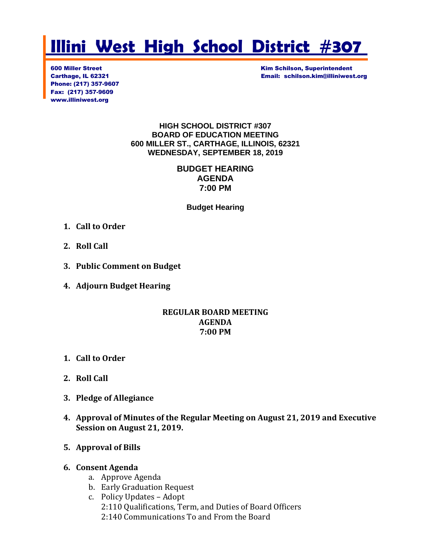# **Illini West High School District #307**

Phone: (217) 357-9607 Fax: (217) 357-9609 www.illiniwest.org

**600 Miller Street Kim Schilson, Superintendent** Carthage, IL 62321 Email: schilson.kim@illiniwest.org

#### **HIGH SCHOOL DISTRICT #307 BOARD OF EDUCATION MEETING 600 MILLER ST., CARTHAGE, ILLINOIS, 62321 WEDNESDAY, SEPTEMBER 18, 2019**

#### **BUDGET HEARING AGENDA 7:00 PM**

**Budget Hearing**

- **1. Call to Order**
- **2. Roll Call**
- **3. Public Comment on Budget**
- **4. Adjourn Budget Hearing**

#### **REGULAR BOARD MEETING AGENDA 7:00 PM**

- **1. Call to Order**
- **2. Roll Call**
- **3. Pledge of Allegiance**
- **4. Approval of Minutes of the Regular Meeting on August 21, 2019 and Executive Session on August 21, 2019.**

#### **5. Approval of Bills**

#### **6. Consent Agenda**

- a. Approve Agenda
- b. Early Graduation Request
- c. Policy Updates Adopt 2:110 Qualifications, Term, and Duties of Board Officers 2:140 Communications To and From the Board